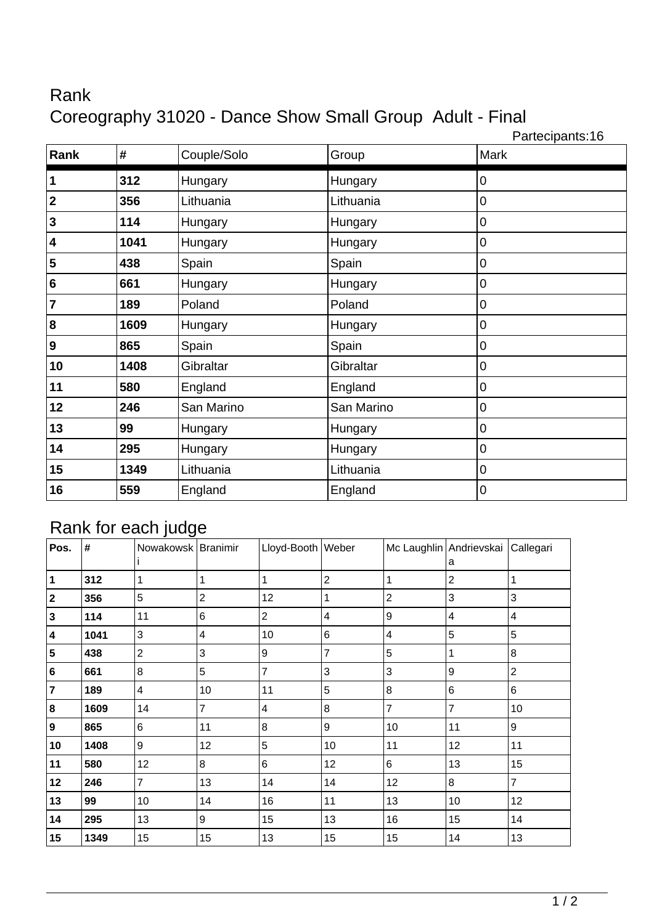## Rank Coreography 31020 - Dance Show Small Group Adult - Final

Partecipants:16 **Rank**  $\vert \textbf{\#} \vert$  Couple/Solo Group Mark **312** Hungary Hungary 0 **2 356** Lithuania **Lithuania 1** Lithuania **1** 0 **114 Hungary Hungary 114 Hungary 10 1041** Hungary **Hungary Hungary 1041 Hungary 438** Spain Spain 0 **661** Hungary **Hungary Hungary 10 189** Poland Poland 0 **1609** Hungary **Hungary Hungary 1609** Hungary **9 |865 |**Spain |Spain |0 **1408** Gibraltar **Gibraltar 16** Gibraltar **16** Gibraltar **580** England England 0 **246** San Marino **San Marino** San Marino **10 99** Hungary **Hungary Hungary 13 1 295 Hungary Hungary Hungary 1 1349** Lithuania Lithuania 0 **559** England **England England** 0

## Rank for each judge

|           |      | <u>.</u><br><u>____</u> |                |                   |                |                |                                        |                |
|-----------|------|-------------------------|----------------|-------------------|----------------|----------------|----------------------------------------|----------------|
| Pos.      | #    | Nowakowsk   Branimir    |                | Lloyd-Booth Weber |                |                | Mc Laughlin Andrievskai Callegari<br>a |                |
| $\vert$ 1 | 312  | 1                       | 1              | 1                 | $\overline{2}$ |                | $\overline{2}$                         | 1              |
| 2         | 356  | 5                       | $\overline{2}$ | 12                | 1              | $\overline{c}$ | $\mathbf{3}$                           | 3              |
| 3         | 114  | 11                      | 6              | $\overline{c}$    | 4              | 9              | 4                                      | $\overline{4}$ |
| 4         | 1041 | $\mathbf{3}$            | 4              | 10                | 6              | 4              | 5                                      | 5              |
| 5         | 438  | $\overline{2}$          | 3              | 9                 | $\overline{7}$ | 5              | 1                                      | 8              |
| 6         | 661  | 8                       | 5              | 7                 | 3              | 3              | 9                                      | $\overline{2}$ |
| 7         | 189  | 4                       | 10             | 11                | 5              | 8              | $\,6$                                  | 6              |
| 8         | 1609 | 14                      | $\overline{7}$ | 4                 | 8              | $\overline{7}$ | $\overline{7}$                         | 10             |
| 9         | 865  | $6\phantom{1}$          | 11             | 8                 | 9              | 10             | 11                                     | 9              |
| 10        | 1408 | $\boldsymbol{9}$        | 12             | 5                 | 10             | 11             | 12                                     | 11             |
| 11        | 580  | 12                      | 8              | 6                 | 12             | 6              | 13                                     | 15             |
| 12        | 246  | $\overline{7}$          | 13             | 14                | 14             | 12             | $\boldsymbol{8}$                       | $\overline{7}$ |
| 13        | 99   | 10                      | 14             | 16                | 11             | 13             | 10                                     | 12             |
| 14        | 295  | 13                      | 9              | 15                | 13             | 16             | 15                                     | 14             |
| 15        | 1349 | 15                      | 15             | 13                | 15             | 15             | 14                                     | 13             |